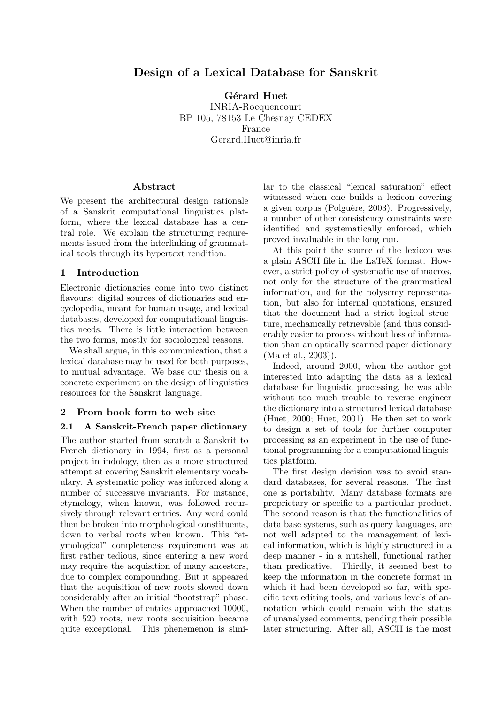# Design of a Lexical Database for Sanskrit

Gérard Huet INRIA-Rocquencourt BP 105, 78153 Le Chesnay CEDEX France Gerard.Huet@inria.fr

#### Abstract

We present the architectural design rationale of a Sanskrit computational linguistics platform, where the lexical database has a central role. We explain the structuring requirements issued from the interlinking of grammatical tools through its hypertext rendition.

#### 1 Introduction

Electronic dictionaries come into two distinct flavours: digital sources of dictionaries and encyclopedia, meant for human usage, and lexical databases, developed for computational linguistics needs. There is little interaction between the two forms, mostly for sociological reasons.

We shall argue, in this communication, that a lexical database may be used for both purposes, to mutual advantage. We base our thesis on a concrete experiment on the design of linguistics resources for the Sanskrit language.

#### 2 From book form to web site

#### 2.1 A Sanskrit-French paper dictionary

The author started from scratch a Sanskrit to French dictionary in 1994, first as a personal project in indology, then as a more structured attempt at covering Sanskrit elementary vocabulary. A systematic policy was inforced along a number of successive invariants. For instance, etymology, when known, was followed recursively through relevant entries. Any word could then be broken into morphological constituents, down to verbal roots when known. This "etymological" completeness requirement was at first rather tedious, since entering a new word may require the acquisition of many ancestors, due to complex compounding. But it appeared that the acquisition of new roots slowed down considerably after an initial "bootstrap" phase. When the number of entries approached 10000, with 520 roots, new roots acquisition became quite exceptional. This phenemenon is similar to the classical "lexical saturation" effect witnessed when one builds a lexicon covering a given corpus (Polguère, 2003). Progressively, a number of other consistency constraints were identified and systematically enforced, which proved invaluable in the long run.

At this point the source of the lexicon was a plain ASCII file in the LaTeX format. However, a strict policy of systematic use of macros, not only for the structure of the grammatical information, and for the polysemy representation, but also for internal quotations, ensured that the document had a strict logical structure, mechanically retrievable (and thus considerably easier to process without loss of information than an optically scanned paper dictionary (Ma et al., 2003)).

Indeed, around 2000, when the author got interested into adapting the data as a lexical database for linguistic processing, he was able without too much trouble to reverse engineer the dictionary into a structured lexical database (Huet, 2000; Huet, 2001). He then set to work to design a set of tools for further computer processing as an experiment in the use of functional programming for a computational linguistics platform.

The first design decision was to avoid standard databases, for several reasons. The first one is portability. Many database formats are proprietary or specific to a particular product. The second reason is that the functionalities of data base systems, such as query languages, are not well adapted to the management of lexical information, which is highly structured in a deep manner - in a nutshell, functional rather than predicative. Thirdly, it seemed best to keep the information in the concrete format in which it had been developed so far, with specific text editing tools, and various levels of annotation which could remain with the status of unanalysed comments, pending their possible later structuring. After all, ASCII is the most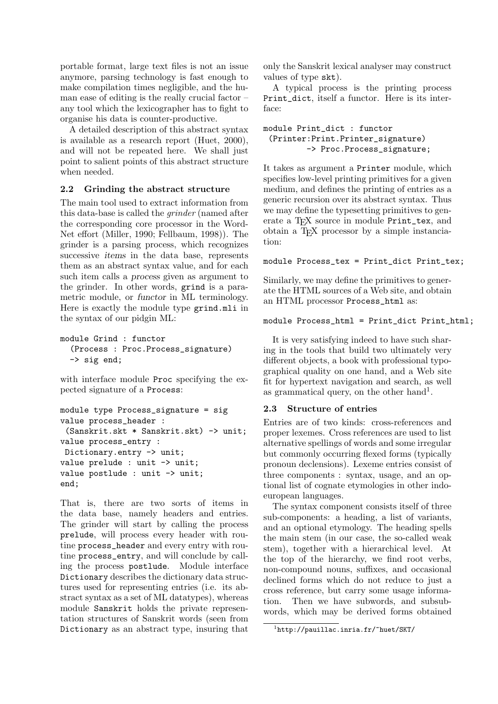portable format, large text files is not an issue anymore, parsing technology is fast enough to make compilation times negligible, and the human ease of editing is the really crucial factor – any tool which the lexicographer has to fight to organise his data is counter-productive.

A detailed description of this abstract syntax is available as a research report (Huet, 2000), and will not be repeated here. We shall just point to salient points of this abstract structure when needed.

# 2.2 Grinding the abstract structure

The main tool used to extract information from this data-base is called the grinder (named after the corresponding core processor in the Word-Net effort (Miller, 1990; Fellbaum, 1998)). The grinder is a parsing process, which recognizes successive items in the data base, represents them as an abstract syntax value, and for each such item calls a process given as argument to the grinder. In other words, grind is a parametric module, or functor in ML terminology. Here is exactly the module type grind.mli in the syntax of our pidgin ML:

```
module Grind : functor
  (Process : Proc.Process_signature)
  -> sig end;
```
with interface module **Proc** specifying the expected signature of a Process:

```
module type Process_signature = sig
value process_header :
 (Sanskrit.skt * Sanskrit.skt) -> unit;
value process_entry :
Dictionary.entry -> unit;
value prelude : unit -> unit;
value postlude : unit -> unit;
end;
```
That is, there are two sorts of items in the data base, namely headers and entries. The grinder will start by calling the process prelude, will process every header with routine process\_header and every entry with routine process\_entry, and will conclude by calling the process postlude. Module interface Dictionary describes the dictionary data structures used for representing entries (i.e. its abstract syntax as a set of ML datatypes), whereas module Sanskrit holds the private representation structures of Sanskrit words (seen from Dictionary as an abstract type, insuring that only the Sanskrit lexical analyser may construct values of type skt).

A typical process is the printing process Print dict, itself a functor. Here is its interface:

### module Print\_dict : functor (Printer:Print.Printer\_signature) -> Proc.Process\_signature;

It takes as argument a Printer module, which specifies low-level printing primitives for a given medium, and defines the printing of entries as a generic recursion over its abstract syntax. Thus we may define the typesetting primitives to generate a T<sub>E</sub>X source in module Print\_tex, and obtain a TEX processor by a simple instanciation:

## module Process\_tex = Print\_dict Print\_tex;

Similarly, we may define the primitives to generate the HTML sources of a Web site, and obtain an HTML processor Process\_html as:

```
module Process_html = Print_dict Print_html;
```
It is very satisfying indeed to have such sharing in the tools that build two ultimately very different objects, a book with professional typographical quality on one hand, and a Web site fit for hypertext navigation and search, as well as grammatical query, on the other hand<sup>1</sup>.

# 2.3 Structure of entries

Entries are of two kinds: cross-references and proper lexemes. Cross references are used to list alternative spellings of words and some irregular but commonly occurring flexed forms (typically pronoun declensions). Lexeme entries consist of three components : syntax, usage, and an optional list of cognate etymologies in other indoeuropean languages.

The syntax component consists itself of three sub-components: a heading, a list of variants, and an optional etymology. The heading spells the main stem (in our case, the so-called weak stem), together with a hierarchical level. At the top of the hierarchy, we find root verbs, non-compound nouns, suffixes, and occasional declined forms which do not reduce to just a cross reference, but carry some usage information. Then we have subwords, and subsubwords, which may be derived forms obtained

<sup>1</sup> http://pauillac.inria.fr/~huet/SKT/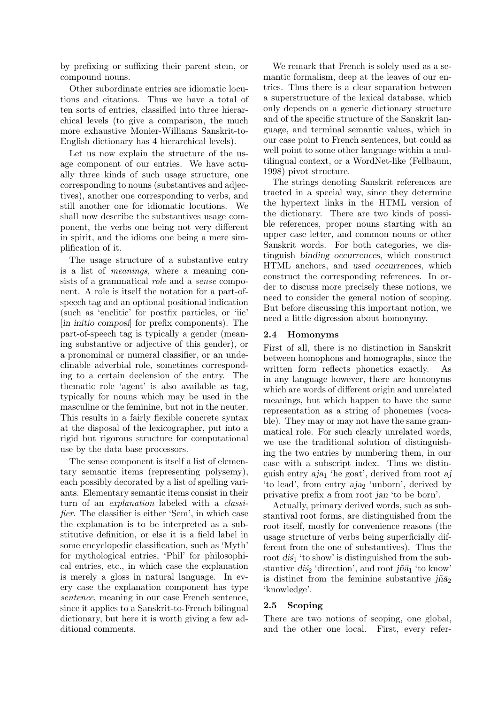by prefixing or suffixing their parent stem, or compound nouns.

Other subordinate entries are idiomatic locutions and citations. Thus we have a total of ten sorts of entries, classified into three hierarchical levels (to give a comparison, the much more exhaustive Monier-Williams Sanskrit-to-English dictionary has 4 hierarchical levels).

Let us now explain the structure of the usage component of our entries. We have actually three kinds of such usage structure, one corresponding to nouns (substantives and adjectives), another one corresponding to verbs, and still another one for idiomatic locutions. We shall now describe the substantives usage component, the verbs one being not very different in spirit, and the idioms one being a mere simplification of it.

The usage structure of a substantive entry is a list of meanings, where a meaning consists of a grammatical role and a sense component. A role is itself the notation for a part-ofspeech tag and an optional positional indication (such as 'enclitic' for postfix particles, or 'iic' [in initio composi] for prefix components). The part-of-speech tag is typically a gender (meaning substantive or adjective of this gender), or a pronominal or numeral classifier, or an undeclinable adverbial role, sometimes corresponding to a certain declension of the entry. The thematic role 'agent' is also available as tag, typically for nouns which may be used in the masculine or the feminine, but not in the neuter. This results in a fairly flexible concrete syntax at the disposal of the lexicographer, put into a rigid but rigorous structure for computational use by the data base processors.

The sense component is itself a list of elementary semantic items (representing polysemy), each possibly decorated by a list of spelling variants. Elementary semantic items consist in their turn of an *explanation* labeled with a *classi*fier. The classifier is either 'Sem', in which case the explanation is to be interpreted as a substitutive definition, or else it is a field label in some encyclopedic classification, such as 'Myth' for mythological entries, 'Phil' for philosophical entries, etc., in which case the explanation is merely a gloss in natural language. In every case the explanation component has type sentence, meaning in our case French sentence, since it applies to a Sanskrit-to-French bilingual dictionary, but here it is worth giving a few additional comments.

We remark that French is solely used as a semantic formalism, deep at the leaves of our entries. Thus there is a clear separation between a superstructure of the lexical database, which only depends on a generic dictionary structure and of the specific structure of the Sanskrit language, and terminal semantic values, which in our case point to French sentences, but could as well point to some other language within a multilingual context, or a WordNet-like (Fellbaum, 1998) pivot structure.

The strings denoting Sanskrit references are traeted in a special way, since they determine the hypertext links in the HTML version of the dictionary. There are two kinds of possible references, proper nouns starting with an upper case letter, and common nouns or other Sanskrit words. For both categories, we distinguish binding occurrences, which construct HTML anchors, and used occurrences, which construct the corresponding references. In order to discuss more precisely these notions, we need to consider the general notion of scoping. But before discussing this important notion, we need a little digression about homonymy.

### 2.4 Homonyms

First of all, there is no distinction in Sanskrit between homophons and homographs, since the written form reflects phonetics exactly. As in any language however, there are homonyms which are words of different origin and unrelated meanings, but which happen to have the same representation as a string of phonemes (vocable). They may or may not have the same grammatical role. For such clearly unrelated words, we use the traditional solution of distinguishing the two entries by numbering them, in our case with a subscript index. Thus we distinguish entry  $aja<sub>1</sub>$  'he goat', derived from root  $aj$ 'to lead', from entry aja<sub>2</sub> 'unborn', derived by privative prefix a from root jan 'to be born'.

Actually, primary derived words, such as substantival root forms, are distinguished from the root itself, mostly for convenience reasons (the usage structure of verbs being superficially different from the one of substantives). Thus the root  $di\acute{s}_1$  'to show' is distinguished from the substantive di's<sup>2</sup> 'direction', and root j $\tilde{m}\tilde{a}_1$  'to know' is distinct from the feminine substantive  $j\tilde{n}\bar{a}_2$ 'knowledge'.

#### 2.5 Scoping

There are two notions of scoping, one global, and the other one local. First, every refer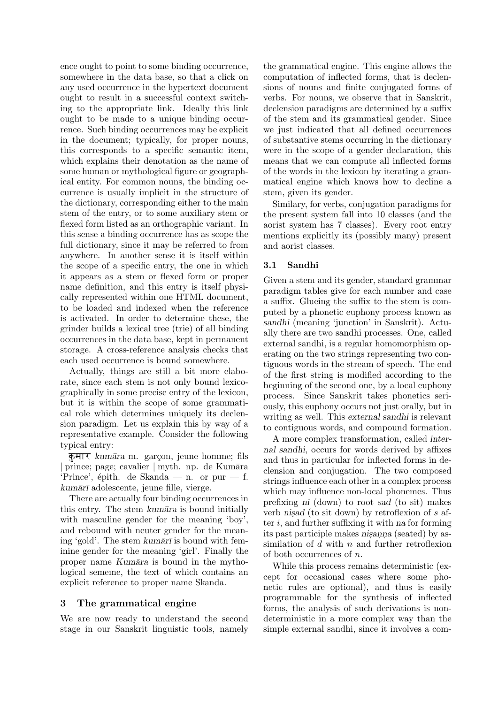ence ought to point to some binding occurrence, somewhere in the data base, so that a click on any used occurrence in the hypertext document ought to result in a successful context switching to the appropriate link. Ideally this link ought to be made to a unique binding occurrence. Such binding occurrences may be explicit in the document; typically, for proper nouns, this corresponds to a specific semantic item, which explains their denotation as the name of some human or mythological figure or geographical entity. For common nouns, the binding occurrence is usually implicit in the structure of the dictionary, corresponding either to the main stem of the entry, or to some auxiliary stem or flexed form listed as an orthographic variant. In this sense a binding occurrence has as scope the full dictionary, since it may be referred to from anywhere. In another sense it is itself within the scope of a specific entry, the one in which it appears as a stem or flexed form or proper name definition, and this entry is itself physically represented within one HTML document, to be loaded and indexed when the reference is activated. In order to determine these, the grinder builds a lexical tree (trie) of all binding occurrences in the data base, kept in permanent storage. A cross-reference analysis checks that each used occurrence is bound somewhere.

Actually, things are still a bit more elaborate, since each stem is not only bound lexicographically in some precise entry of the lexicon, but it is within the scope of some grammatical role which determines uniquely its declension paradigm. Let us explain this by way of a representative example. Consider the following typical entry:

कुमार kumāra m. garçon, jeune homme; fils  $|$  prince; page; cavalier  $|$  myth. np. de Kumāra 'Prince', épith. de Skanda — n. or pur — f. kumārī adolescente, jeune fille, vierge.

There are actually four binding occurrences in this entry. The stem kumāra is bound initially with masculine gender for the meaning 'boy', and rebound with neuter gender for the meaning 'gold'. The stem kum $\bar{a}r\bar{l}$  is bound with feminine gender for the meaning 'girl'. Finally the proper name Kumāra is bound in the mythological sememe, the text of which contains an explicit reference to proper name Skanda.

## 3 The grammatical engine

We are now ready to understand the second stage in our Sanskrit linguistic tools, namely

the grammatical engine. This engine allows the computation of inflected forms, that is declensions of nouns and finite conjugated forms of verbs. For nouns, we observe that in Sanskrit, declension paradigms are determined by a suffix of the stem and its grammatical gender. Since we just indicated that all defined occurrences of substantive stems occurring in the dictionary were in the scope of a gender declaration, this means that we can compute all inflected forms of the words in the lexicon by iterating a grammatical engine which knows how to decline a stem, given its gender.

Similary, for verbs, conjugation paradigms for the present system fall into 10 classes (and the aorist system has 7 classes). Every root entry mentions explicitly its (possibly many) present and aorist classes.

### 3.1 Sandhi

Given a stem and its gender, standard grammar paradigm tables give for each number and case a suffix. Glueing the suffix to the stem is computed by a phonetic euphony process known as sandhi (meaning 'junction' in Sanskrit). Actually there are two sandhi processes. One, called external sandhi, is a regular homomorphism operating on the two strings representing two contiguous words in the stream of speech. The end of the first string is modified according to the beginning of the second one, by a local euphony process. Since Sanskrit takes phonetics seriously, this euphony occurs not just orally, but in writing as well. This external sandhi is relevant to contiguous words, and compound formation.

A more complex transformation, called internal sandhi, occurs for words derived by affixes and thus in particular for inflected forms in declension and conjugation. The two composed strings influence each other in a complex process which may influence non-local phonemes. Thus prefixing ni (down) to root sad (to sit) makes verb nisad (to sit down) by retroflexion of  $s$  after  $i$ , and further suffixing it with na for forming its past participle makes nisanna (seated) by assimilation of  $d$  with  $n$  and further retroflexion of both occurrences of  $n$ .

While this process remains deterministic (except for occasional cases where some phonetic rules are optional), and thus is easily programmable for the synthesis of inflected forms, the analysis of such derivations is nondeterministic in a more complex way than the simple external sandhi, since it involves a com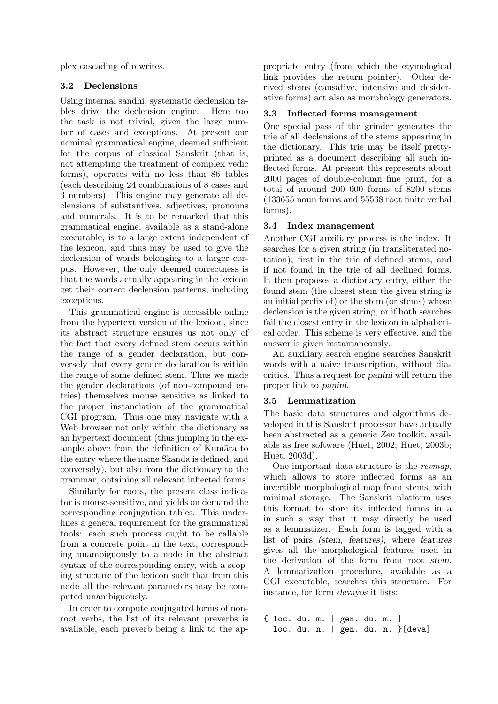plex cascading of rewrites.

## 3.2 Declensions

Using internal sandhi, systematic declension tables drive the declension engine. Here too the task is not trivial, given the large number of cases and exceptions. At present our nominal grammatical engine, deemed sufficient for the corpus of classical Sanskrit (that is, not attempting the treatment of complex vedic forms), operates with no less than 86 tables (each describing 24 combinations of 8 cases and 3 numbers). This engine may generate all declensions of substantives, adjectives, pronouns and numerals. It is to be remarked that this grammatical engine, available as a stand-alone executable, is to a large extent independent of the lexicon, and thus may be used to give the declension of words belonging to a larger corpus. However, the only deemed correctness is that the words actually appearing in the lexicon get their correct declension patterns, including exceptions.

This grammatical engine is accessible online from the hypertext version of the lexicon, since its abstract structure ensures us not only of the fact that every defined stem occurs within the range of a gender declaration, but conversely that every gender declaration is within the range of some defined stem. Thus we made the gender declarations (of non-compound entries) themselves mouse sensitive as linked to the proper instanciation of the grammatical CGI program. Thus one may navigate with a Web browser not only within the dictionary as an hypertext document (thus jumping in the example above from the definition of Kumāra to the entry where the name Skanda is defined, and conversely), but also from the dictionary to the grammar, obtaining all relevant inflected forms.

Similarly for roots, the present class indicator is mouse-sensitive, and yields on demand the corresponding conjugation tables. This underlines a general requirement for the grammatical tools: each such process ought to be callable from a concrete point in the text, corresponding unambiguously to a node in the abstract syntax of the corresponding entry, with a scoping structure of the lexicon such that from this node all the relevant parameters may be computed unambiguously.

In order to compute conjugated forms of nonroot verbs, the list of its relevant preverbs is available, each preverb being a link to the ap-

propriate entry (from which the etymological link provides the return pointer). Other derived stems (causative, intensive and desiderative forms) act also as morphology generators.

## 3.3 Inflected forms management

One special pass of the grinder generates the trie of all declensions of the stems appearing in the dictionary. This trie may be itself prettyprinted as a document describing all such inflected forms. At present this represents about 2000 pages of double-column fine print, for a total of around 200 000 forms of 8200 stems (133655 noun forms and 55568 root finite verbal forms).

## 3.4 Index management

Another CGI auxiliary process is the index. It searches for a given string (in transliterated notation), first in the trie of defined stems, and if not found in the trie of all declined forms. It then proposes a dictionary entry, either the found stem (the closest stem the given string is an initial prefix of) or the stem (or stems) whose declension is the given string, or if both searches fail the closest entry in the lexicon in alphabetical order. This scheme is very effective, and the answer is given instantaneously.

An auxiliary search engine searches Sanskrit words with a naive transcription, without diacritics. Thus a request for panini will return the proper link to *pānini*.

#### 3.5 Lemmatization

The basic data structures and algorithms developed in this Sanskrit processor have actually been abstracted as a generic Zen toolkit, available as free software (Huet, 2002; Huet, 2003b; Huet, 2003d).

One important data structure is the revmap, which allows to store inflected forms as an invertible morphological map from stems, with minimal storage. The Sanskrit platform uses this format to store its inflected forms in a in such a way that it may directly be used as a lemmatizer. Each form is tagged with a list of pairs (stem, features), where features gives all the morphological features used in the derivation of the form from root stem. A lemmatization procedure, available as a CGI executable, searches this structure. For instance, for form devayos it lists:

{ loc. du. m. | gen. du. m. | loc. du. n. | gen. du. n. }[deva]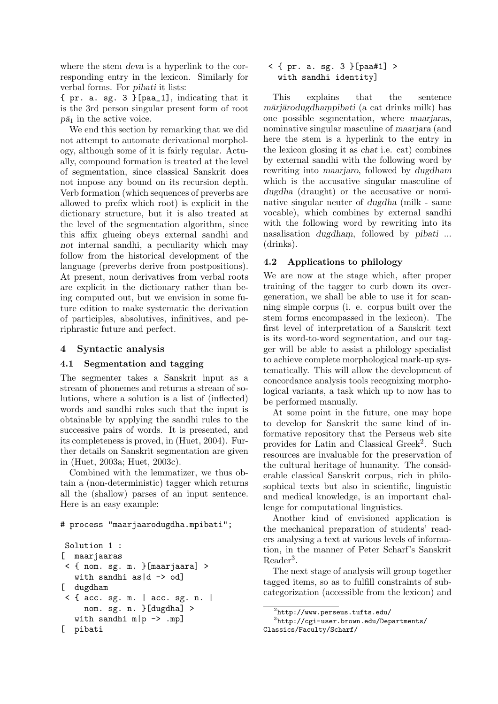where the stem deva is a hyperlink to the corresponding entry in the lexicon. Similarly for verbal forms. For pibati it lists:

{ pr. a. sg. 3 }[paa\_1], indicating that it is the 3rd person singular present form of root  $p\bar{a}_1$  in the active voice.

We end this section by remarking that we did not attempt to automate derivational morphology, although some of it is fairly regular. Actually, compound formation is treated at the level of segmentation, since classical Sanskrit does not impose any bound on its recursion depth. Verb formation (which sequences of preverbs are allowed to prefix which root) is explicit in the dictionary structure, but it is also treated at the level of the segmentation algorithm, since this affix glueing obeys external sandhi and not internal sandhi, a peculiarity which may follow from the historical development of the language (preverbs derive from postpositions). At present, noun derivatives from verbal roots are explicit in the dictionary rather than being computed out, but we envision in some future edition to make systematic the derivation of participles, absolutives, infinitives, and periphrastic future and perfect.

## 4 Syntactic analysis

## 4.1 Segmentation and tagging

The segmenter takes a Sanskrit input as a stream of phonemes and returns a stream of solutions, where a solution is a list of (inflected) words and sandhi rules such that the input is obtainable by applying the sandhi rules to the successive pairs of words. It is presented, and its completeness is proved, in (Huet, 2004). Further details on Sanskrit segmentation are given in (Huet, 2003a; Huet, 2003c).

Combined with the lemmatizer, we thus obtain a (non-deterministic) tagger which returns all the (shallow) parses of an input sentence. Here is an easy example:

#### # process "maarjaarodugdha.mpibati";

```
Solution 1 :
[ maarjaaras
< { nom. sg. m. }[maarjaara] >
   with sandhi as |d \rightarrow od][ dugdham
< { acc. sg. m. | acc. sg. n. |
     nom. sg. n. }[dugdha] >
   with sandhi m|p \rightarrow mp[ pibati
```
#### < { pr. a. sg. 3 }[paa#1] > with sandhi identity]

This explains that the sentence māriārodugdhampibati (a cat drinks milk) has one possible segmentation, where maarjaras, nominative singular masculine of maarjara (and here the stem is a hyperlink to the entry in the lexicon glosing it as chat i.e. cat) combines by external sandhi with the following word by rewriting into maarjaro, followed by dugdham which is the accusative singular masculine of dugdha (draught) or the accusative or nominative singular neuter of dugdha (milk - same vocable), which combines by external sandhi with the following word by rewriting into its nasalisation *dugdham*, followed by *pibati* ... (drinks).

# 4.2 Applications to philology

We are now at the stage which, after proper training of the tagger to curb down its overgeneration, we shall be able to use it for scanning simple corpus (i. e. corpus built over the stem forms encompassed in the lexicon). The first level of interpretation of a Sanskrit text is its word-to-word segmentation, and our tagger will be able to assist a philology specialist to achieve complete morphological mark-up systematically. This will allow the development of concordance analysis tools recognizing morphological variants, a task which up to now has to be performed manually.

At some point in the future, one may hope to develop for Sanskrit the same kind of informative repository that the Perseus web site provides for Latin and Classical Greek<sup>2</sup>. Such resources are invaluable for the preservation of the cultural heritage of humanity. The considerable classical Sanskrit corpus, rich in philosophical texts but also in scientific, linguistic and medical knowledge, is an important challenge for computational linguistics.

Another kind of envisioned application is the mechanical preparation of students' readers analysing a text at various levels of information, in the manner of Peter Scharf's Sanskrit Reader<sup>3</sup>.

The next stage of analysis will group together tagged items, so as to fulfill constraints of subcategorization (accessible from the lexicon) and

```
^{2}http://www.perseus.tufts.edu/
```

```
3
http://cgi-user.brown.edu/Departments/
Classics/Faculty/Scharf/
```